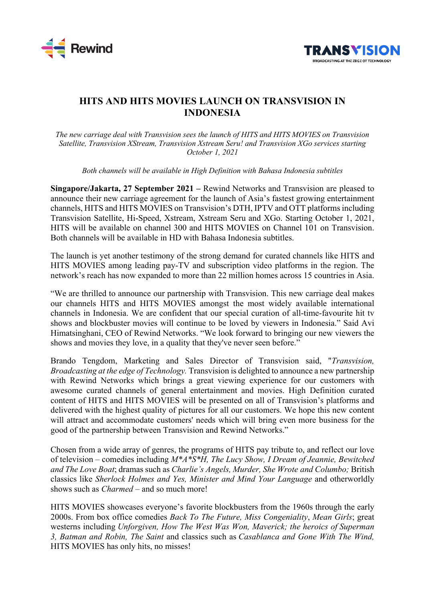



## **HITS AND HITS MOVIES LAUNCH ON TRANSVISION IN INDONESIA**

*The new carriage deal with Transvision sees the launch of HITS and HITS MOVIES on Transvision Satellite, Transvision XStream, Transvision Xstream Seru! and Transvision XGo services starting October 1, 2021*

*Both channels will be available in High Definition with Bahasa Indonesia subtitles*

**Singapore/Jakarta, 27 September 2021 –** Rewind Networks and Transvision are pleased to announce their new carriage agreement for the launch of Asia's fastest growing entertainment channels, HITS and HITS MOVIES on Transvision's DTH, IPTV and OTT platforms including Transvision Satellite, Hi-Speed, Xstream, Xstream Seru and XGo. Starting October 1, 2021, HITS will be available on channel 300 and HITS MOVIES on Channel 101 on Transvision. Both channels will be available in HD with Bahasa Indonesia subtitles.

The launch is yet another testimony of the strong demand for curated channels like HITS and HITS MOVIES among leading pay-TV and subscription video platforms in the region. The network's reach has now expanded to more than 22 million homes across 15 countries in Asia.

"We are thrilled to announce our partnership with Transvision. This new carriage deal makes our channels HITS and HITS MOVIES amongst the most widely available international channels in Indonesia. We are confident that our special curation of all-time-favourite hit tv shows and blockbuster movies will continue to be loved by viewers in Indonesia." Said Avi Himatsinghani, CEO of Rewind Networks. "We look forward to bringing our new viewers the shows and movies they love, in a quality that they've never seen before."

Brando Tengdom, Marketing and Sales Director of Transvision said, "*Transvision, Broadcasting at the edge of Technology.* Transvision is delighted to announce a new partnership with Rewind Networks which brings a great viewing experience for our customers with awesome curated channels of general entertainment and movies. High Definition curated content of HITS and HITS MOVIES will be presented on all of Transvision's platforms and delivered with the highest quality of pictures for all our customers. We hope this new content will attract and accommodate customers' needs which will bring even more business for the good of the partnership between Transvision and Rewind Networks."

Chosen from a wide array of genres, the programs of HITS pay tribute to, and reflect our love of television – comedies including *M\*A\*S\*H, The Lucy Show, I Dream of Jeannie, Bewitched and The Love Boat*; dramas such as *Charlie's Angels, Murder, She Wrote and Columbo;* British classics like *Sherlock Holmes and Yes, Minister and Mind Your Language* and otherworldly shows such as *Charmed* – and so much more!

HITS MOVIES showcases everyone's favorite blockbusters from the 1960s through the early 2000s. From box office comedies *Back To The Future, Miss Congeniality*, *Mean Girls*; great westerns including *Unforgiven, How The West Was Won, Maverick; the heroics of Superman 3, Batman and Robin, The Saint* and classics such as *Casablanca and Gone With The Wind,* HITS MOVIES has only hits, no misses!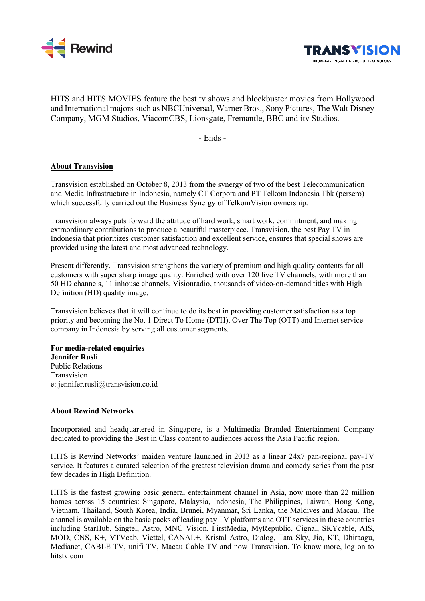



HITS and HITS MOVIES feature the best tv shows and blockbuster movies from Hollywood and International majors such as NBCUniversal, Warner Bros., Sony Pictures, The Walt Disney Company, MGM Studios, ViacomCBS, Lionsgate, Fremantle, BBC and itv Studios.

- Ends -

## **About Transvision**

Transvision established on October 8, 2013 from the synergy of two of the best Telecommunication and Media Infrastructure in Indonesia, namely CT Corpora and PT Telkom Indonesia Tbk (persero) which successfully carried out the Business Synergy of TelkomVision ownership.

Transvision always puts forward the attitude of hard work, smart work, commitment, and making extraordinary contributions to produce a beautiful masterpiece. Transvision, the best Pay TV in Indonesia that prioritizes customer satisfaction and excellent service, ensures that special shows are provided using the latest and most advanced technology.

Present differently, Transvision strengthens the variety of premium and high quality contents for all customers with super sharp image quality. Enriched with over 120 live TV channels, with more than 50 HD channels, 11 inhouse channels, Visionradio, thousands of video-on-demand titles with High Definition (HD) quality image.

Transvision believes that it will continue to do its best in providing customer satisfaction as a top priority and becoming the No. 1 Direct To Home (DTH), Over The Top (OTT) and Internet service company in Indonesia by serving all customer segments.

**For media-related enquiries Jennifer Rusli** Public Relations Transvision e: jennifer.rusli@transvision.co.id

## **About Rewind Networks**

Incorporated and headquartered in Singapore, is a Multimedia Branded Entertainment Company dedicated to providing the Best in Class content to audiences across the Asia Pacific region.

HITS is Rewind Networks' maiden venture launched in 2013 as a linear 24x7 pan-regional pay-TV service. It features a curated selection of the greatest television drama and comedy series from the past few decades in High Definition.

HITS is the fastest growing basic general entertainment channel in Asia, now more than 22 million homes across 15 countries: Singapore, Malaysia, Indonesia, The Philippines, Taiwan, Hong Kong, Vietnam, Thailand, South Korea, India, Brunei, Myanmar, Sri Lanka, the Maldives and Macau. The channel is available on the basic packs of leading pay TV platforms and OTT services in these countries including StarHub, Singtel, Astro, MNC Vision, FirstMedia, MyRepublic, Cignal, SKYcable, AIS, MOD, CNS, K+, VTVcab, Viettel, CANAL+, Kristal Astro, Dialog, Tata Sky, Jio, KT, Dhiraagu, Medianet, CABLE TV, unifi TV, Macau Cable TV and now Transvision. To know more, log on to hitstv.com